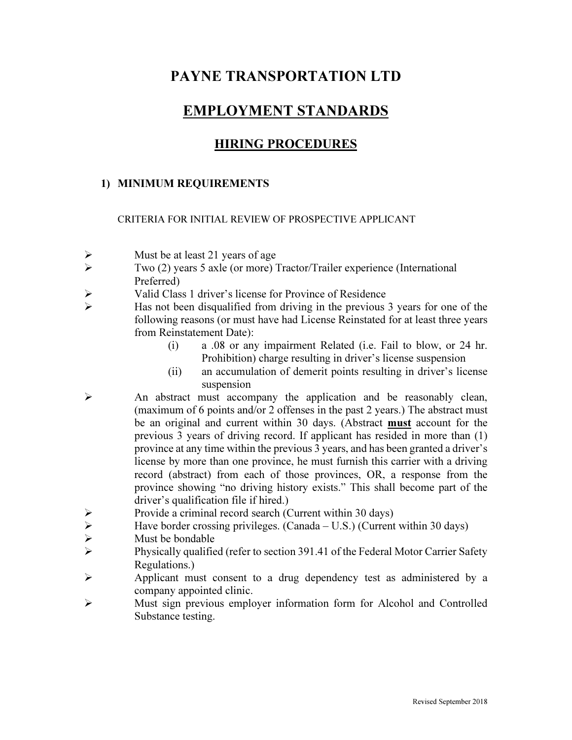# PAYNE TRANSPORTATION LTD

## EMPLOYMENT STANDARDS

### HIRING PROCEDURES

#### 1) MINIMUM REQUIREMENTS

CRITERIA FOR INITIAL REVIEW OF PROSPECTIVE APPLICANT

- $\triangleright$  Must be at least 21 years of age
- $\triangleright$  Two (2) years 5 axle (or more) Tractor/Trailer experience (International Preferred)
- $\triangleright$  Valid Class 1 driver's license for Province of Residence<br>  $\triangleright$  Has not been disqualified from driving in the previous
- Has not been disqualified from driving in the previous 3 years for one of the following reasons (or must have had License Reinstated for at least three years from Reinstatement Date):
	- (i) a .08 or any impairment Related (i.e. Fail to blow, or 24 hr. Prohibition) charge resulting in driver's license suspension
	- (ii) an accumulation of demerit points resulting in driver's license suspension
- $\triangleright$  An abstract must accompany the application and be reasonably clean, (maximum of 6 points and/or 2 offenses in the past 2 years.) The abstract must be an original and current within 30 days. (Abstract must account for the previous 3 years of driving record. If applicant has resided in more than (1) province at any time within the previous 3 years, and has been granted a driver's license by more than one province, he must furnish this carrier with a driving record (abstract) from each of those provinces, OR, a response from the province showing "no driving history exists." This shall become part of the driver's qualification file if hired.)
- Provide a criminal record search (Current within 30 days)<br>
Pave border crossing privileges. (Canada U.S.) (Current
- $\triangleright$  Have border crossing privileges. (Canada U.S.) (Current within 30 days)<br>
Must be bondable
- Must be bondable
- Physically qualified (refer to section 391.41 of the Federal Motor Carrier Safety Regulations.)
- Applicant must consent to a drug dependency test as administered by a company appointed clinic.
- Must sign previous employer information form for Alcohol and Controlled Substance testing.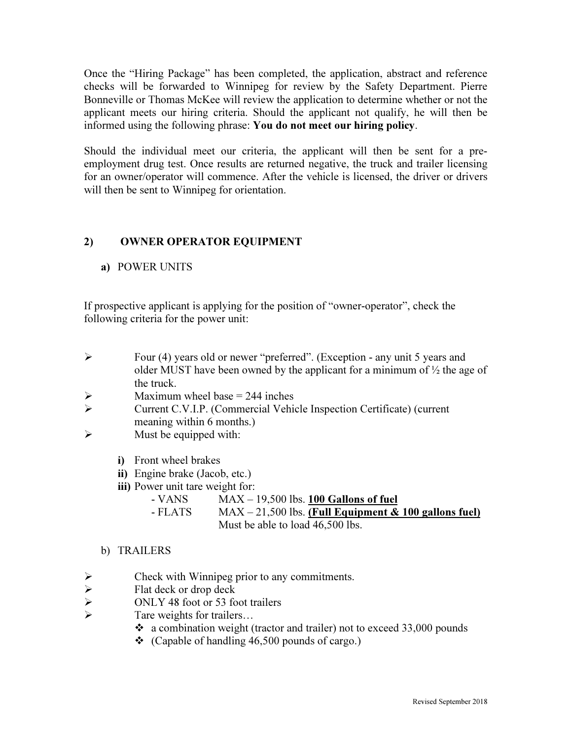Once the "Hiring Package" has been completed, the application, abstract and reference checks will be forwarded to Winnipeg for review by the Safety Department. Pierre Bonneville or Thomas McKee will review the application to determine whether or not the applicant meets our hiring criteria. Should the applicant not qualify, he will then be informed using the following phrase: You do not meet our hiring policy.

Should the individual meet our criteria, the applicant will then be sent for a preemployment drug test. Once results are returned negative, the truck and trailer licensing for an owner/operator will commence. After the vehicle is licensed, the driver or drivers will then be sent to Winnipeg for orientation.

#### 2) OWNER OPERATOR EQUIPMENT

#### a) POWER UNITS

If prospective applicant is applying for the position of "owner-operator", check the following criteria for the power unit:

- Four (4) years old or newer "preferred". (Exception any unit 5 years and older MUST have been owned by the applicant for a minimum of  $\frac{1}{2}$  the age of the truck.
- $\triangleright$  Maximum wheel base = 244 inches
- Current C.V.I.P. (Commercial Vehicle Inspection Certificate) (current meaning within 6 months.)
- $\triangleright$  Must be equipped with:
	- i) Front wheel brakes
	- ii) Engine brake (Jacob, etc.)
	- iii) Power unit tare weight for:
		- $-$  VANS MAX 19,500 lbs. 100 Gallons of fuel
		- $-$  FLATS MAX 21,500 lbs. (Full Equipment & 100 gallons fuel) Must be able to load 46,500 lbs.

#### b) TRAILERS

- A<br>
Check with Winnipeg prior to any commitments.<br>
Flat deck or drop deck<br>
ONLY 48 foot or 53 foot trailers<br>
Fare weights for trailers
- Flat deck or drop deck
- ONLY 48 foot or 53 foot trailers
- Tare weights for trailers…
	- a combination weight (tractor and trailer) not to exceed 33,000 pounds
	- $\div$  (Capable of handling 46,500 pounds of cargo.)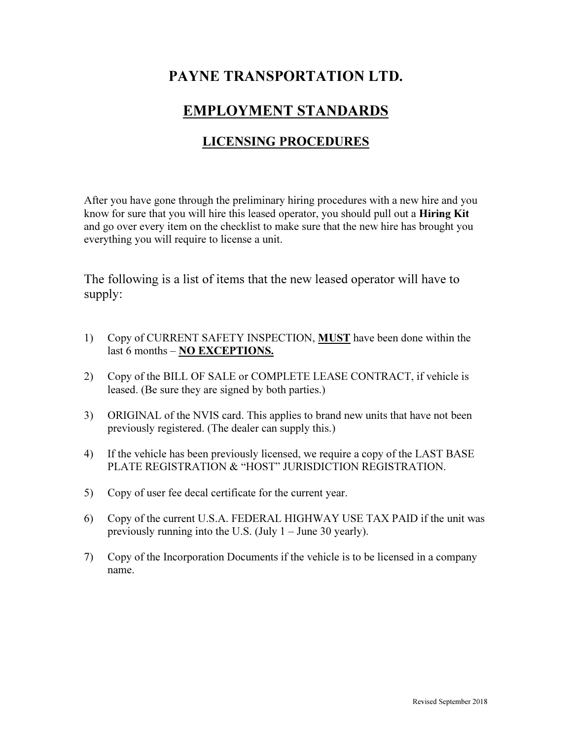# PAYNE TRANSPORTATION LTD.

## EMPLOYMENT STANDARDS

## LICENSING PROCEDURES

After you have gone through the preliminary hiring procedures with a new hire and you know for sure that you will hire this leased operator, you should pull out a **Hiring Kit** and go over every item on the checklist to make sure that the new hire has brought you everything you will require to license a unit.

The following is a list of items that the new leased operator will have to supply:

- 1) Copy of CURRENT SAFETY INSPECTION, **MUST** have been done within the last 6 months – NO EXCEPTIONS.
- 2) Copy of the BILL OF SALE or COMPLETE LEASE CONTRACT, if vehicle is leased. (Be sure they are signed by both parties.)
- 3) ORIGINAL of the NVIS card. This applies to brand new units that have not been previously registered. (The dealer can supply this.)
- 4) If the vehicle has been previously licensed, we require a copy of the LAST BASE PLATE REGISTRATION & "HOST" JURISDICTION REGISTRATION.
- 5) Copy of user fee decal certificate for the current year.
- 6) Copy of the current U.S.A. FEDERAL HIGHWAY USE TAX PAID if the unit was previously running into the U.S. (July 1 – June 30 yearly).
- 7) Copy of the Incorporation Documents if the vehicle is to be licensed in a company name.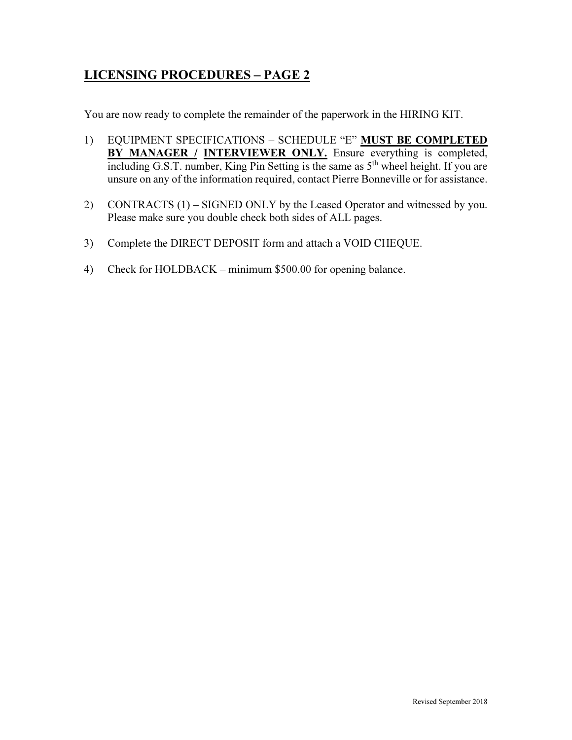## LICENSING PROCEDURES – PAGE 2

You are now ready to complete the remainder of the paperwork in the HIRING KIT.

- 1) EQUIPMENT SPECIFICATIONS SCHEDULE "E" MUST BE COMPLETED BY MANAGER / INTERVIEWER ONLY. Ensure everything is completed, including G.S.T. number, King Pin Setting is the same as 5<sup>th</sup> wheel height. If you are unsure on any of the information required, contact Pierre Bonneville or for assistance.
- 2) CONTRACTS (1) SIGNED ONLY by the Leased Operator and witnessed by you. Please make sure you double check both sides of ALL pages.
- 3) Complete the DIRECT DEPOSIT form and attach a VOID CHEQUE.
- 4) Check for HOLDBACK minimum \$500.00 for opening balance.